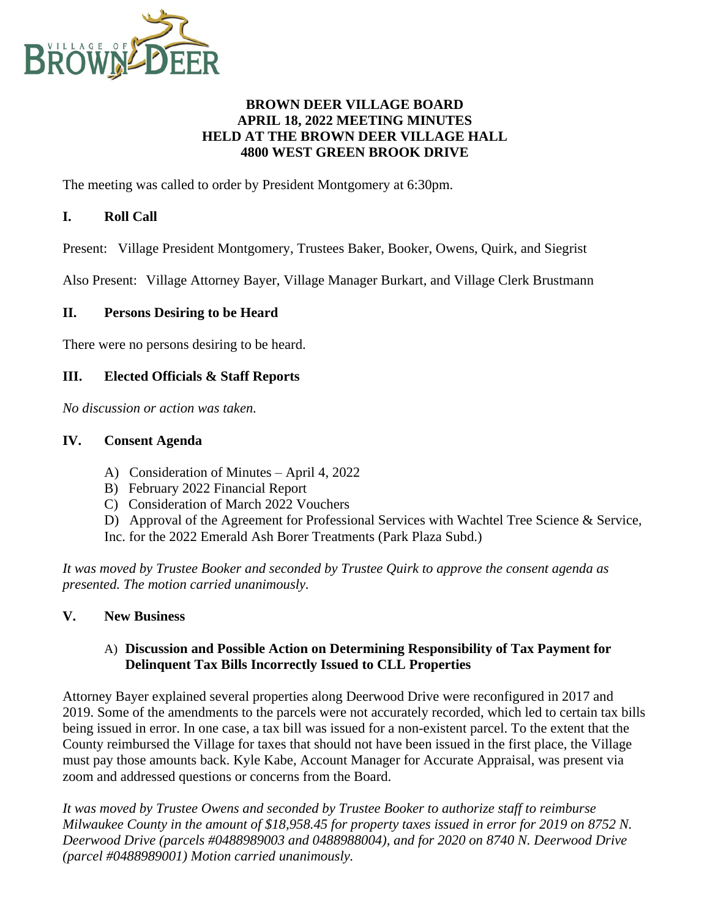

### **BROWN DEER VILLAGE BOARD APRIL 18, 2022 MEETING MINUTES HELD AT THE BROWN DEER VILLAGE HALL 4800 WEST GREEN BROOK DRIVE**

The meeting was called to order by President Montgomery at 6:30pm.

## **I. Roll Call**

Present: Village President Montgomery, Trustees Baker, Booker, Owens, Quirk, and Siegrist

Also Present: Village Attorney Bayer, Village Manager Burkart, and Village Clerk Brustmann

#### **II. Persons Desiring to be Heard**

There were no persons desiring to be heard.

### **III. Elected Officials & Staff Reports**

*No discussion or action was taken.*

#### **IV. Consent Agenda**

- A) Consideration of Minutes April 4, 2022
- B) February 2022 Financial Report
- C) Consideration of March 2022 Vouchers
- D) Approval of the Agreement for Professional Services with Wachtel Tree Science & Service,
- Inc. for the 2022 Emerald Ash Borer Treatments (Park Plaza Subd.)

*It was moved by Trustee Booker and seconded by Trustee Quirk to approve the consent agenda as presented. The motion carried unanimously.*

#### **V. New Business**

#### A) **Discussion and Possible Action on Determining Responsibility of Tax Payment for Delinquent Tax Bills Incorrectly Issued to CLL Properties**

Attorney Bayer explained several properties along Deerwood Drive were reconfigured in 2017 and 2019. Some of the amendments to the parcels were not accurately recorded, which led to certain tax bills being issued in error. In one case, a tax bill was issued for a non-existent parcel. To the extent that the County reimbursed the Village for taxes that should not have been issued in the first place, the Village must pay those amounts back. Kyle Kabe, Account Manager for Accurate Appraisal, was present via zoom and addressed questions or concerns from the Board.

*It was moved by Trustee Owens and seconded by Trustee Booker to authorize staff to reimburse Milwaukee County in the amount of \$18,958.45 for property taxes issued in error for 2019 on 8752 N. Deerwood Drive (parcels #0488989003 and 0488988004), and for 2020 on 8740 N. Deerwood Drive (parcel #0488989001) Motion carried unanimously.*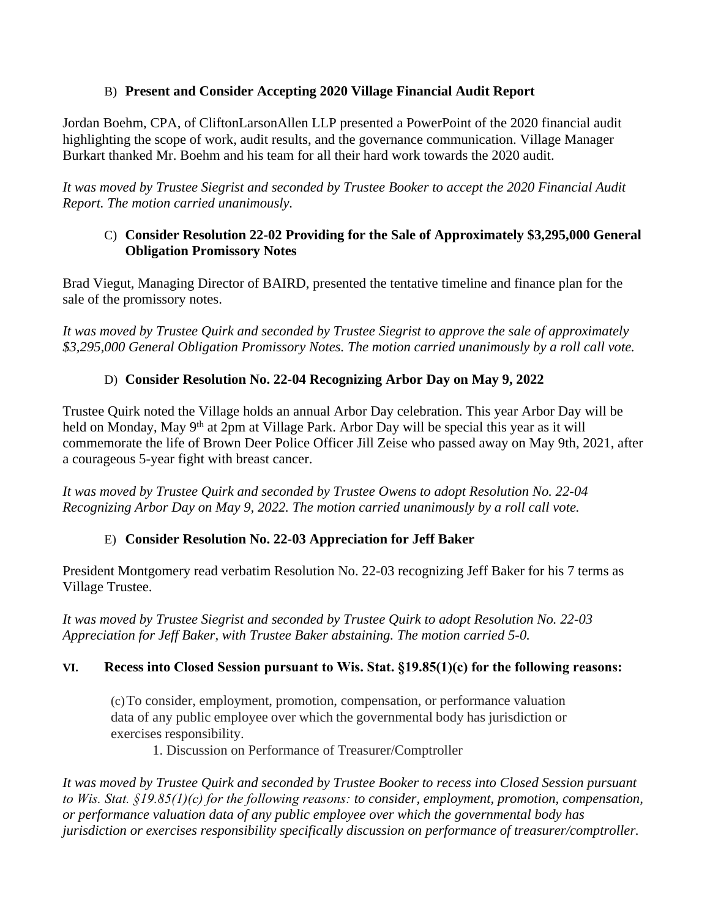## B) **Present and Consider Accepting 2020 Village Financial Audit Report**

Jordan Boehm, CPA, of CliftonLarsonAllen LLP presented a PowerPoint of the 2020 financial audit highlighting the scope of work, audit results, and the governance communication. Village Manager Burkart thanked Mr. Boehm and his team for all their hard work towards the 2020 audit.

*It was moved by Trustee Siegrist and seconded by Trustee Booker to accept the 2020 Financial Audit Report. The motion carried unanimously.*

## C) **Consider Resolution 22-02 Providing for the Sale of Approximately \$3,295,000 General Obligation Promissory Notes**

Brad Viegut, Managing Director of BAIRD, presented the tentative timeline and finance plan for the sale of the promissory notes.

*It was moved by Trustee Quirk and seconded by Trustee Siegrist to approve the sale of approximately \$3,295,000 General Obligation Promissory Notes. The motion carried unanimously by a roll call vote.*

# D) **Consider Resolution No. 22-04 Recognizing Arbor Day on May 9, 2022**

Trustee Quirk noted the Village holds an annual Arbor Day celebration. This year Arbor Day will be held on Monday, May 9<sup>th</sup> at 2pm at Village Park. Arbor Day will be special this year as it will commemorate the life of Brown Deer Police Officer Jill Zeise who passed away on May 9th, 2021, after a courageous 5-year fight with breast cancer.

*It was moved by Trustee Quirk and seconded by Trustee Owens to adopt Resolution No. 22-04 Recognizing Arbor Day on May 9, 2022. The motion carried unanimously by a roll call vote.*

# E) **Consider Resolution No. 22-03 Appreciation for Jeff Baker**

President Montgomery read verbatim Resolution No. 22-03 recognizing Jeff Baker for his 7 terms as Village Trustee.

*It was moved by Trustee Siegrist and seconded by Trustee Quirk to adopt Resolution No. 22-03 Appreciation for Jeff Baker, with Trustee Baker abstaining. The motion carried 5-0.*

# **VI. Recess into Closed Session pursuant to Wis. Stat. §19.85(1)(c) for the following reasons:**

(c)To consider, employment, promotion, compensation, or performance valuation data of any public employee over which the governmental body has jurisdiction or exercises responsibility.

1. Discussion on Performance of Treasurer/Comptroller

*It was moved by Trustee Quirk and seconded by Trustee Booker to recess into Closed Session pursuant to Wis. Stat. §19.85(1)(c) for the following reasons: to consider, employment, promotion, compensation, or performance valuation data of any public employee over which the governmental body has jurisdiction or exercises responsibility specifically discussion on performance of treasurer/comptroller.*